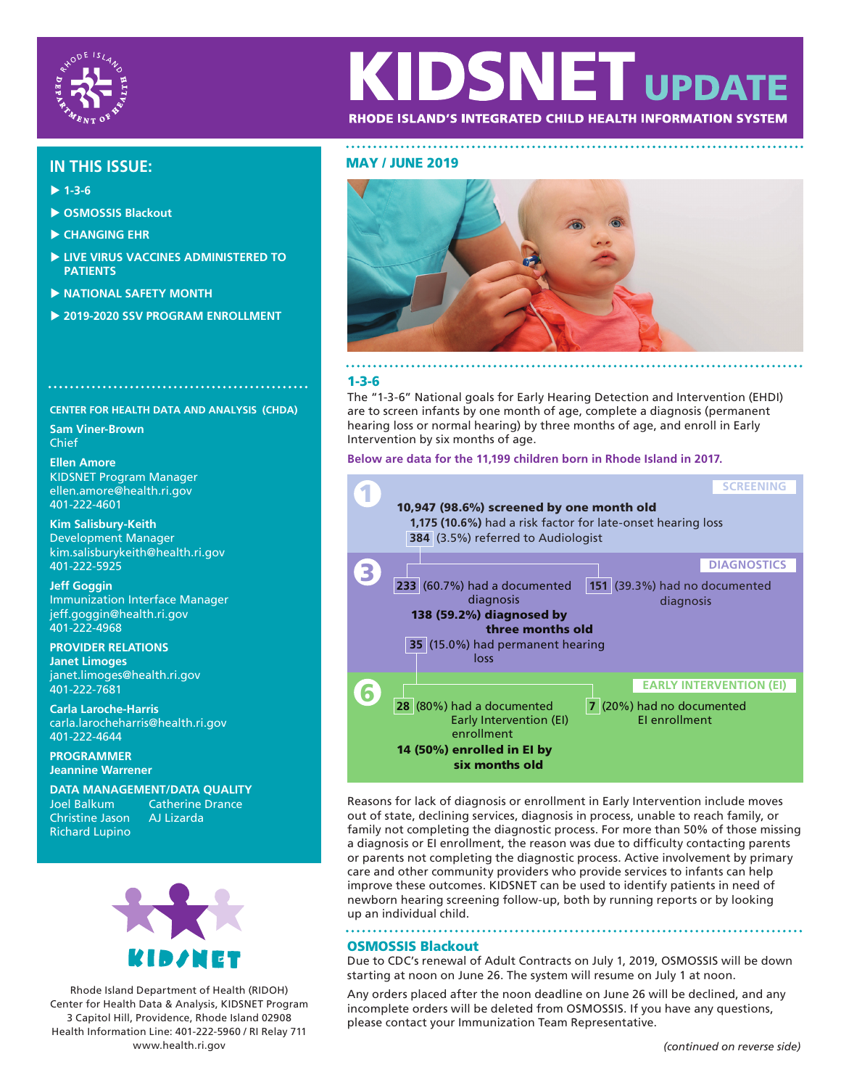

# KIDSNET UPDA RHODE ISLAND'S INTEGRATED CHILD HEALTH INFORMATION SYSTEM

# MAY / JUNE 2019 **IN THIS ISSUE:**

- **1-3-6**
- **OSMOSSIS Blackout**
- **CHANGING EHR**
- **LIVE VIRUS VACCINES ADMINISTERED TO PATIENTS**
- **NATIONAL SAFETY MONTH**
- **2019-2020 SSV PROGRAM ENROLLMENT**

# 

**CENTER FOR HEALTH DATA AND ANALYSIS (CHDA) Sam Viner-Brown** Chief

**Ellen Amore** KIDSNET Program Manager ellen.amore@health.ri.gov 401-222-4601

**Kim Salisbury-Keith** Development Manager kim.salisburykeith@health.ri.gov 401-222-5925

**Jeff Goggin** Immunization Interface Manager jeff.goggin@health.ri.gov 401-222-4968

**PROVIDER RELATIONS Janet Limoges** janet.limoges@health.ri.gov 401-222-7681

**Carla Laroche-Harris** carla.larocheharris@health.ri.gov 401-222-4644

**PROGRAMMER Jeannine Warrener**

**DATA MANAGEMENT/DATA QUALITY** Catherine Drance<br>AJ Lizarda Christine Jason Richard Lupino



Rhode Island Department of Health (RIDOH) Center for Health Data & Analysis, KIDSNET Program 3 Capitol Hill, Providence, Rhode Island 02908 Health Information Line: 401-222-5960 / RI Relay 711 www.health.ri.gov *(continued on reverse side)*



# 1-3-6

The "1-3-6" National goals for Early Hearing Detection and Intervention (EHDI) are to screen infants by one month of age, complete a diagnosis (permanent hearing loss or normal hearing) by three months of age, and enroll in Early Intervention by six months of age.

#### **Below are data for the 11,199 children born in Rhode Island in 2017.**



Reasons for lack of diagnosis or enrollment in Early Intervention include moves out of state, declining services, diagnosis in process, unable to reach family, or family not completing the diagnostic process. For more than 50% of those missing a diagnosis or EI enrollment, the reason was due to difficulty contacting parents or parents not completing the diagnostic process. Active involvement by primary care and other community providers who provide services to infants can help improve these outcomes. KIDSNET can be used to identify patients in need of newborn hearing screening follow-up, both by running reports or by looking up an individual child.

# OSMOSSIS Blackout

Due to CDC's renewal of Adult Contracts on July 1, 2019, OSMOSSIS will be down starting at noon on June 26. The system will resume on July 1 at noon.

Any orders placed after the noon deadline on June 26 will be declined, and any incomplete orders will be deleted from OSMOSSIS. If you have any questions, please contact your Immunization Team Representative.